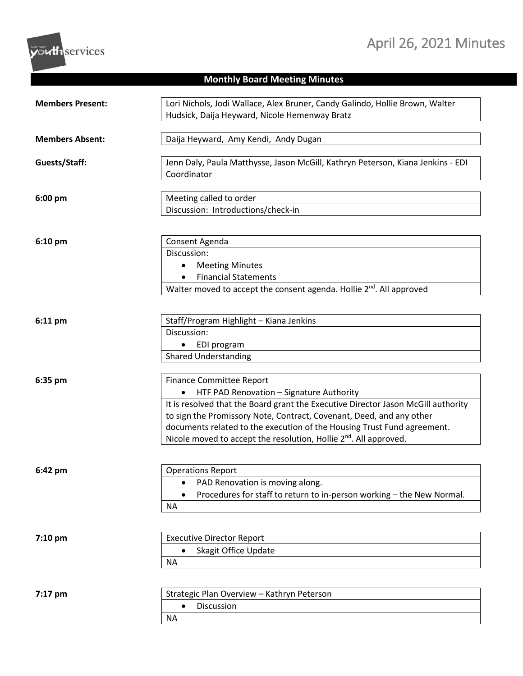## April 26, 2021 Minutes



## **Monthly Board Meeting Minutes**

| <b>Members Present:</b> | Lori Nichols, Jodi Wallace, Alex Bruner, Candy Galindo, Hollie Brown, Walter<br>Hudsick, Daija Heyward, Nicole Hemenway Bratz                                                                                                                                                                                                                                                                        |
|-------------------------|------------------------------------------------------------------------------------------------------------------------------------------------------------------------------------------------------------------------------------------------------------------------------------------------------------------------------------------------------------------------------------------------------|
| <b>Members Absent:</b>  | Daija Heyward, Amy Kendi, Andy Dugan                                                                                                                                                                                                                                                                                                                                                                 |
| Guests/Staff:           | Jenn Daly, Paula Matthysse, Jason McGill, Kathryn Peterson, Kiana Jenkins - EDI<br>Coordinator                                                                                                                                                                                                                                                                                                       |
| 6:00 pm                 | Meeting called to order<br>Discussion: Introductions/check-in                                                                                                                                                                                                                                                                                                                                        |
| $6:10$ pm               | Consent Agenda<br>Discussion:<br><b>Meeting Minutes</b><br><b>Financial Statements</b><br>Walter moved to accept the consent agenda. Hollie 2 <sup>nd</sup> . All approved                                                                                                                                                                                                                           |
| 6:11 pm                 | Staff/Program Highlight - Kiana Jenkins<br>Discussion:<br>EDI program<br>$\bullet$<br><b>Shared Understanding</b>                                                                                                                                                                                                                                                                                    |
| 6:35 pm                 | <b>Finance Committee Report</b><br>HTF PAD Renovation - Signature Authority<br>It is resolved that the Board grant the Executive Director Jason McGill authority<br>to sign the Promissory Note, Contract, Covenant, Deed, and any other<br>documents related to the execution of the Housing Trust Fund agreement.<br>Nicole moved to accept the resolution, Hollie 2 <sup>nd</sup> . All approved. |
| 6:42 pm                 | <b>Operations Report</b><br>PAD Renovation is moving along.<br>٠<br>Procedures for staff to return to in-person working - the New Normal.<br>ΝA                                                                                                                                                                                                                                                      |
| 7:10 pm                 | <b>Executive Director Report</b><br>Skagit Office Update<br>$\bullet$<br><b>NA</b>                                                                                                                                                                                                                                                                                                                   |
| 7:17 pm                 | Strategic Plan Overview - Kathryn Peterson<br>Discussion<br>$\bullet$<br><b>NA</b>                                                                                                                                                                                                                                                                                                                   |